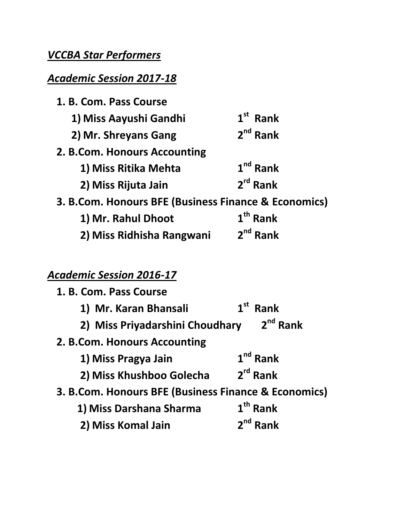# *VCCBA Star Performers*

### *Academic Session 2017-18*

| 1. B. Com. Pass Course                               |               |
|------------------------------------------------------|---------------|
| 1) Miss Aayushi Gandhi                               | $1st$ Rank    |
| 2) Mr. Shreyans Gang                                 | $2^{nd}$ Rank |
| 2. B.Com. Honours Accounting                         |               |
| 1) Miss Ritika Mehta                                 | $1nd$ Rank    |
| 2) Miss Rijuta Jain                                  | $2rd$ Rank    |
| 3. B.Com. Honours BFE (Business Finance & Economics) |               |
| 1) Mr. Rahul Dhoot                                   | $1th$ Rank    |
| 2) Miss Ridhisha Rangwani                            | $2^{nd}$ Rank |

## *Academic Session 2016-17*

| 1. B. Com. Pass Course                               |                         |
|------------------------------------------------------|-------------------------|
| 1) Mr. Karan Bhansali                                | $1st$ Rank              |
| $2nd$ Rank<br>2) Miss Priyadarshini Choudhary        |                         |
| 2. B.Com. Honours Accounting                         |                         |
| 1) Miss Pragya Jain                                  | $1nd$ Rank              |
| 2) Miss Khushboo Golecha                             | $2rd$ Rank              |
| 3. B.Com. Honours BFE (Business Finance & Economics) |                         |
| 1) Miss Darshana Sharma                              | $1th$ Rank              |
| 2) Miss Komal Jain                                   | 2 <sup>nd</sup><br>Rank |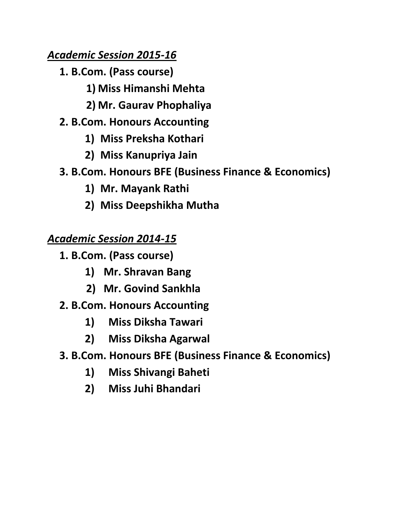#### *Academic Session 2015-16*

- **1. B.Com. (Pass course)**
	- **1) Miss Himanshi Mehta**
	- **2) Mr. Gaurav Phophaliya**
- **2. B.Com. Honours Accounting**
	- **1) Miss Preksha Kothari**
	- **2) Miss Kanupriya Jain**
- **3. B.Com. Honours BFE (Business Finance & Economics)**
	- **1) Mr. Mayank Rathi**
	- **2) Miss Deepshikha Mutha**

## *Academic Session 2014-15*

- **1. B.Com. (Pass course)**
	- **1) Mr. Shravan Bang**
	- **2) Mr. Govind Sankhla**
- **2. B.Com. Honours Accounting**
	- **1) Miss Diksha Tawari**
	- **2) Miss Diksha Agarwal**
- **3. B.Com. Honours BFE (Business Finance & Economics)**
	- **1) Miss Shivangi Baheti**
	- **2) Miss Juhi Bhandari**